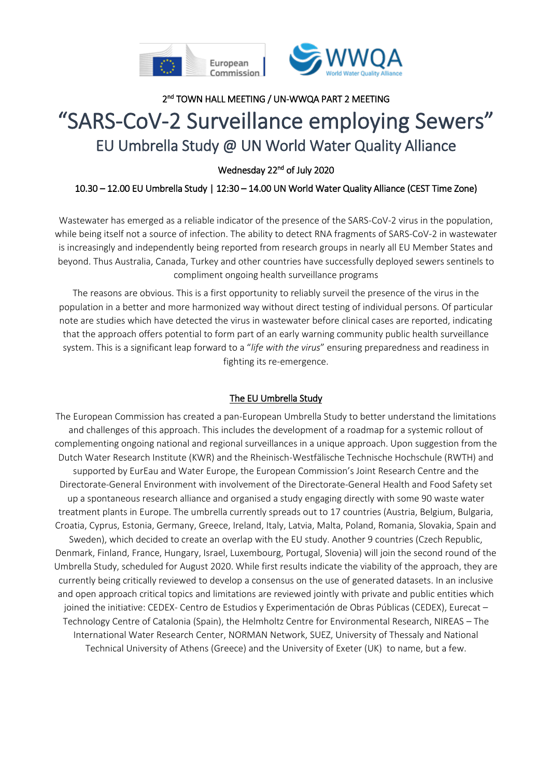



# 2<sup>nd</sup> TOWN HALL MEETING / UN-WWQA PART 2 MEETING "SARS-CoV-2 Surveillance employing Sewers" EU Umbrella Study @ UN World Water Quality Alliance

#### Wednesday 22<sup>nd</sup> of July 2020

### 10.30 – 12.00 EU Umbrella Study | 12:30 – 14.00 UN World Water Quality Alliance (CEST Time Zone)

Wastewater has emerged as a reliable indicator of the presence of the SARS-CoV-2 virus in the population, while being itself not a source of infection. The ability to detect RNA fragments of SARS-CoV-2 in wastewater is increasingly and independently being reported from research groups in nearly all EU Member States and beyond. Thus Australia, Canada, Turkey and other countries have successfully deployed sewers sentinels to compliment ongoing health surveillance programs

The reasons are obvious. This is a first opportunity to reliably surveil the presence of the virus in the population in a better and more harmonized way without direct testing of individual persons. Of particular note are studies which have detected the virus in wastewater before clinical cases are reported, indicating that the approach offers potential to form part of an early warning community public health surveillance system. This is a significant leap forward to a "*life with the virus*" ensuring preparedness and readiness in fighting its re-emergence.

#### The EU Umbrella Study

The European Commission has created a pan-European Umbrella Study to better understand the limitations and challenges of this approach. This includes the development of a roadmap for a systemic rollout of complementing ongoing national and regional surveillances in a unique approach. Upon suggestion from the Dutch Water Research Institute (KWR) and the Rheinisch-Westfälische Technische Hochschule (RWTH) and supported by EurEau and Water Europe, the European Commission's Joint Research Centre and the Directorate-General Environment with involvement of the Directorate-General Health and Food Safety set up a spontaneous research alliance and organised a study engaging directly with some 90 waste water treatment plants in Europe. The umbrella currently spreads out to 17 countries (Austria, Belgium, Bulgaria, Croatia, Cyprus, Estonia, Germany, Greece, Ireland, Italy, Latvia, Malta, Poland, Romania, Slovakia, Spain and Sweden), which decided to create an overlap with the EU study. Another 9 countries (Czech Republic, Denmark, Finland, France, Hungary, Israel, Luxembourg, Portugal, Slovenia) will join the second round of the Umbrella Study, scheduled for August 2020. While first results indicate the viability of the approach, they are currently being critically reviewed to develop a consensus on the use of generated datasets. In an inclusive and open approach critical topics and limitations are reviewed jointly with private and public entities which joined the initiative: CEDEX- Centro de Estudios y Experimentación de Obras Públicas (CEDEX), Eurecat – Technology Centre of Catalonia (Spain), the Helmholtz Centre for Environmental Research, NIREAS – The International Water Research Center, NORMAN Network, SUEZ, University of Thessaly and National Technical University of Athens (Greece) and the University of Exeter (UK) to name, but a few.